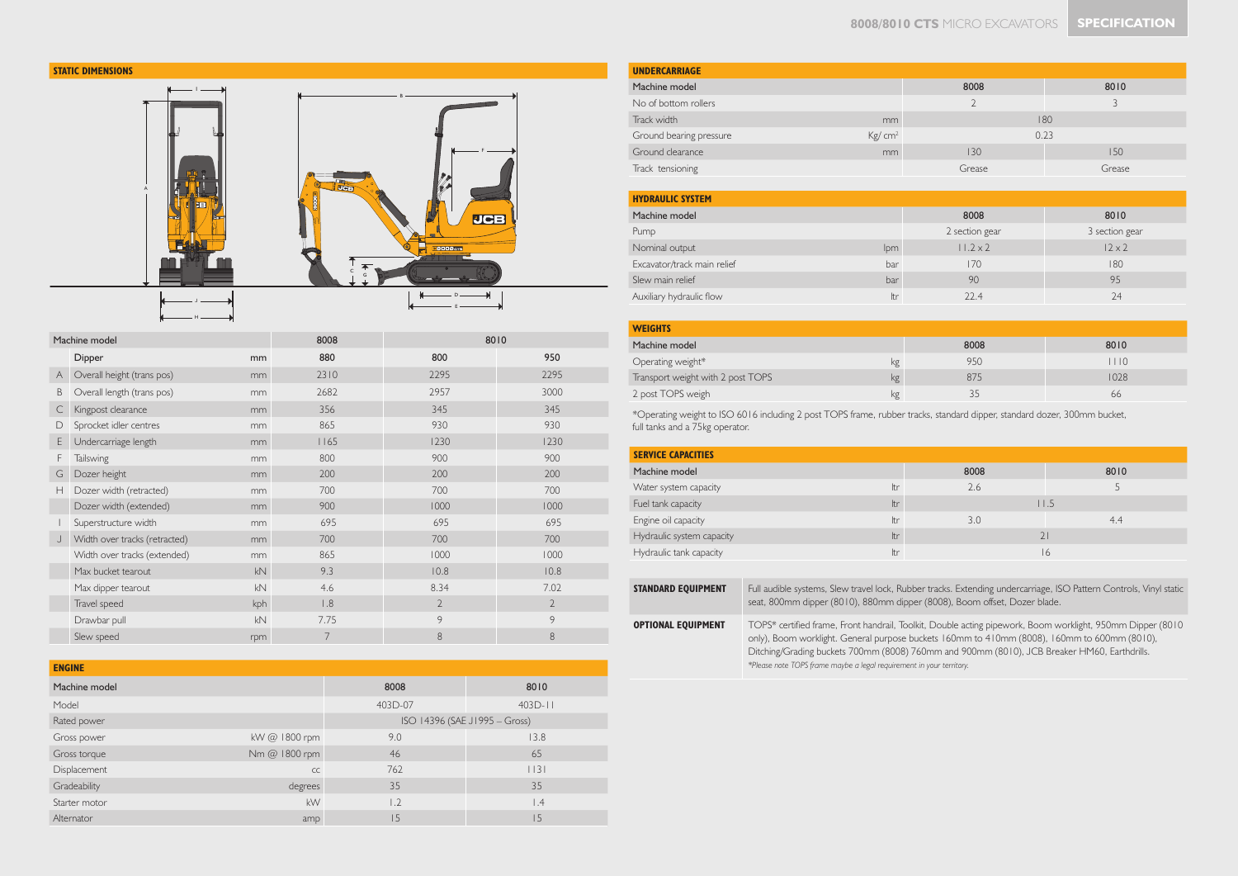

| Machine model |                               | 8008           |      | 8010           |                |
|---------------|-------------------------------|----------------|------|----------------|----------------|
|               | Dipper                        | mm             | 880  | 800            | 950            |
| $\mathsf{A}$  | Overall height (trans pos)    | mm             | 2310 | 2295           | 2295           |
| B             | Overall length (trans pos)    | mm             | 2682 | 2957           | 3000           |
| C             | Kingpost clearance            | mm             | 356  | 345            | 345            |
| D             | Sprocket idler centres        | mm             | 865  | 930            | 930            |
| E.            | Undercarriage length          | m <sub>m</sub> | 1165 | 1230           | 1230           |
| F             | <b>Tailswing</b>              | mm             | 800  | 900            | 900            |
| G             | Dozer height                  | mm             | 200  | 200            | 200            |
| Н             | Dozer width (retracted)       | mm             | 700  | 700            | 700            |
|               | Dozer width (extended)        | mm             | 900  | 1000           | 1000           |
|               | Superstructure width          | mm             | 695  | 695            | 695            |
| J             | Width over tracks (retracted) | mm             | 700  | 700            | 700            |
|               | Width over tracks (extended)  | mm             | 865  | 1000           | 1000           |
|               | Max bucket tearout            | kN             | 9.3  | 10.8           | 10.8           |
|               | Max dipper tearout            | kN             | 4.6  | 8.34           | 7.02           |
|               | Travel speed                  | kph            | 1.8  | $\overline{2}$ | $\overline{2}$ |
|               | Drawbar pull                  | kN             | 7.75 | 9              | 9              |
|               | Slew speed                    | rpm            | 7    | 8              | 8              |

| <b>ENGINE</b> |               |         |                               |
|---------------|---------------|---------|-------------------------------|
| Machine model |               | 8008    | 8010                          |
| Model         |               | 403D-07 | $403D - 11$                   |
| Rated power   |               |         | ISO 14396 (SAE J1995 - Gross) |
| Gross power   | kW @ 1800 rpm | 9.0     | 13.8                          |
| Gross torque  | Nm @ 1800 rpm | 46      | 65                            |
| Displacement  | CC            | 762     | 13                            |
| Gradeability  | degrees       | 35      | 35                            |
| Starter motor | kW            | 1.2     | $\vert .4$                    |
| Alternator    | amp           | 15      | 15                            |

| <b>UNDERCARRIAGE</b>    |                    |               |        |  |
|-------------------------|--------------------|---------------|--------|--|
| Machine model           |                    | 8008          | 8010   |  |
| No of bottom rollers    |                    | $\mathcal{D}$ |        |  |
| Track width             | mm                 | 180           |        |  |
| Ground bearing pressure | Kg/cm <sup>2</sup> | 0.23          |        |  |
| Ground clearance        | mm                 | 130<br>150    |        |  |
| Track tensioning        |                    | Grease        | Grease |  |

| <b>HYDRAULIC SYSTEM</b>     |     |                 |                |
|-----------------------------|-----|-----------------|----------------|
| Machine model               |     | 8008            | 8010           |
| Pump                        |     | 2 section gear  | 3 section gear |
| Nominal output              | lpm | $11.2 \times 2$ | $12 \times 2$  |
| Excavator/track main relief | bar | 170             | 180            |
| Slew main relief            | bar | 90              | 95             |
| Auxiliary hydraulic flow    | Itr | 22.4            | 74             |

| <b>WEIGHTS</b>                    |    |      |      |
|-----------------------------------|----|------|------|
| Machine model                     |    | 8008 | 8010 |
| Operating weight*                 | kg | 950  | 110  |
| Transport weight with 2 post TOPS | kg | 875  | 1028 |
| 2 post TOPS weigh                 | kg | 35   | 66   |

\*Operating weight to ISO 6016 including 2 post TOPS frame, rubber tracks, standard dipper, standard dozer, 300mm bucket, full tanks and a 75kg operator.

| <b>SERVICE CAPACITIES</b>        |      |      |
|----------------------------------|------|------|
| Machine model                    | 8008 | 8010 |
| Water system capacity<br>ltr     | 2.6  |      |
| Fuel tank capacity<br>ltr        |      | 11.5 |
| Engine oil capacity<br>Itr       | 3.0  | 4.4  |
| Hydraulic system capacity<br>ltr |      | 21   |
| Hydraulic tank capacity<br>Itr   |      | 16   |

| <b>STANDARD EQUIPMENT</b> | Full audible systems, Slew travel lock, Rubber tracks. Extending undercarriage, ISO Pattern Controls, Vinyl static<br>seat, 800mm dipper (8010), 880mm dipper (8008), Boom offset, Dozer blade.                                                                                                                                                                                    |
|---------------------------|------------------------------------------------------------------------------------------------------------------------------------------------------------------------------------------------------------------------------------------------------------------------------------------------------------------------------------------------------------------------------------|
| <b>OPTIONAL EOUIPMENT</b> | TOPS* certified frame, Front handrail, Toolkit, Double acting pipework, Boom worklight, 950mm Dipper (8010<br>only), Boom worklight. General purpose buckets 160mm to 410mm (8008), 160mm to 600mm (8010),<br>Ditching/Grading buckets 700mm (8008) 760mm and 900mm (8010), JCB Breaker HM60, Earthdrills.<br>*Please note TOPS frame maybe a legal requirement in your territory. |